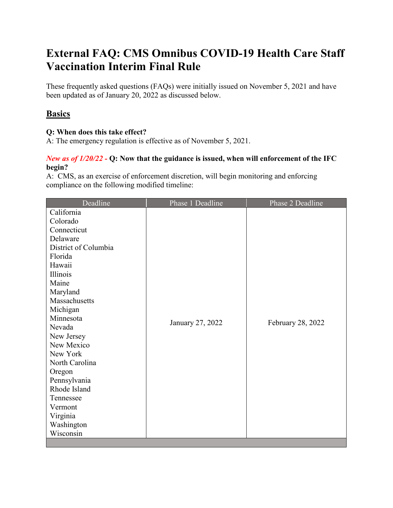# **External FAQ: CMS Omnibus COVID-19 Health Care Staff Vaccination Interim Final Rule**

These frequently asked questions (FAQs) were initially issued on November 5, 2021 and have been updated as of January 20, 2022 as discussed below.

# **Basics**

# **Q: When does this take effect?**

A: The emergency regulation is effective as of November 5, 2021.

# *New as of 1/20/22 -* **Q: Now that the guidance is issued, when will enforcement of the IFC begin?**

A: CMS, as an exercise of enforcement discretion, will begin monitoring and enforcing compliance on the following modified timeline:

| Deadline             | Phase 1 Deadline | Phase 2 Deadline  |
|----------------------|------------------|-------------------|
| California           |                  |                   |
| Colorado             |                  |                   |
| Connecticut          | January 27, 2022 | February 28, 2022 |
| Delaware             |                  |                   |
| District of Columbia |                  |                   |
| Florida              |                  |                   |
| Hawaii               |                  |                   |
| Illinois             |                  |                   |
| Maine                |                  |                   |
| Maryland             |                  |                   |
| Massachusetts        |                  |                   |
| Michigan             |                  |                   |
| Minnesota            |                  |                   |
| Nevada               |                  |                   |
| New Jersey           |                  |                   |
| New Mexico           |                  |                   |
| New York             |                  |                   |
| North Carolina       |                  |                   |
| Oregon               |                  |                   |
| Pennsylvania         |                  |                   |
| Rhode Island         |                  |                   |
| Tennessee            |                  |                   |
| Vermont              |                  |                   |
| Virginia             |                  |                   |
| Washington           |                  |                   |
| Wisconsin            |                  |                   |
|                      |                  |                   |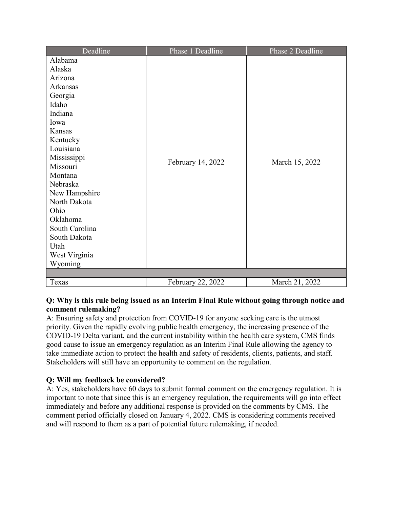| Deadline       | Phase 1 Deadline  | Phase 2 Deadline |
|----------------|-------------------|------------------|
| Alabama        |                   |                  |
| Alaska         | February 14, 2022 | March 15, 2022   |
| Arizona        |                   |                  |
| Arkansas       |                   |                  |
| Georgia        |                   |                  |
| Idaho          |                   |                  |
| Indiana        |                   |                  |
| Iowa           |                   |                  |
| Kansas         |                   |                  |
| Kentucky       |                   |                  |
| Louisiana      |                   |                  |
| Mississippi    |                   |                  |
| Missouri       |                   |                  |
| Montana        |                   |                  |
| Nebraska       |                   |                  |
| New Hampshire  |                   |                  |
| North Dakota   |                   |                  |
| Ohio           |                   |                  |
| Oklahoma       |                   |                  |
| South Carolina |                   |                  |
| South Dakota   |                   |                  |
| Utah           |                   |                  |
| West Virginia  |                   |                  |
| Wyoming        |                   |                  |
|                |                   |                  |
| Texas          | February 22, 2022 | March 21, 2022   |

### **Q: Why is this rule being issued as an Interim Final Rule without going through notice and comment rulemaking?**

A: Ensuring safety and protection from COVID-19 for anyone seeking care is the utmost priority. Given the rapidly evolving public health emergency, the increasing presence of the COVID-19 Delta variant, and the current instability within the health care system, CMS finds good cause to issue an emergency regulation as an Interim Final Rule allowing the agency to take immediate action to protect the health and safety of residents, clients, patients, and staff. Stakeholders will still have an opportunity to comment on the regulation.

# **Q: Will my feedback be considered?**

A: Yes, stakeholders have 60 days to submit formal comment on the emergency regulation. It is important to note that since this is an emergency regulation, the requirements will go into effect immediately and before any additional response is provided on the comments by CMS. The comment period officially closed on January 4, 2022. CMS is considering comments received and will respond to them as a part of potential future rulemaking, if needed.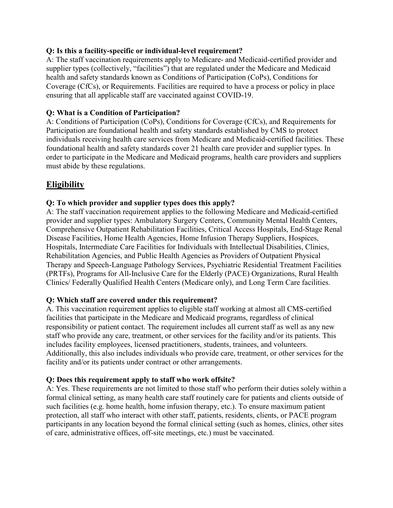#### **Q: Is this a facility-specific or individual-level requirement?**

A: The staff vaccination requirements apply to Medicare- and Medicaid-certified provider and supplier types (collectively, "facilities") that are regulated under the Medicare and Medicaid health and safety standards known as Conditions of Participation (CoPs), Conditions for Coverage (CfCs), or Requirements. Facilities are required to have a process or policy in place ensuring that all applicable staff are vaccinated against COVID-19.

### **Q: What is a Condition of Participation?**

A: Conditions of Participation (CoPs), Conditions for Coverage (CfCs), and Requirements for Participation are foundational health and safety standards established by CMS to protect individuals receiving health care services from Medicare and Medicaid-certified facilities. These foundational health and safety standards cover 21 health care provider and supplier types. In order to participate in the Medicare and Medicaid programs, health care providers and suppliers must abide by these regulations.

# **Eligibility**

# **Q: To which provider and supplier types does this apply?**

A: The staff vaccination requirement applies to the following Medicare and Medicaid-certified provider and supplier types: Ambulatory Surgery Centers, Community Mental Health Centers, Comprehensive Outpatient Rehabilitation Facilities, Critical Access Hospitals, End-Stage Renal Disease Facilities, Home Health Agencies, Home Infusion Therapy Suppliers, Hospices, Hospitals, Intermediate Care Facilities for Individuals with Intellectual Disabilities, Clinics, Rehabilitation Agencies, and Public Health Agencies as Providers of Outpatient Physical Therapy and Speech-Language Pathology Services, Psychiatric Residential Treatment Facilities (PRTFs), Programs for All-Inclusive Care for the Elderly (PACE) Organizations, Rural Health Clinics/ Federally Qualified Health Centers (Medicare only), and Long Term Care facilities.

# **Q: Which staff are covered under this requirement?**

A. This vaccination requirement applies to eligible staff working at almost all CMS-certified facilities that participate in the Medicare and Medicaid programs, regardless of clinical responsibility or patient contact. The requirement includes all current staff as well as any new staff who provide any care, treatment, or other services for the facility and/or its patients. This includes facility employees, licensed practitioners, students, trainees, and volunteers. Additionally, this also includes individuals who provide care, treatment, or other services for the facility and/or its patients under contract or other arrangements.

#### **Q: Does this requirement apply to staff who work offsite?**

A: Yes. These requirements are not limited to those staff who perform their duties solely within a formal clinical setting, as many health care staff routinely care for patients and clients outside of such facilities (e.g. home health, home infusion therapy, etc.). To ensure maximum patient protection, all staff who interact with other staff, patients, residents, clients, or PACE program participants in any location beyond the formal clinical setting (such as homes, clinics, other sites of care, administrative offices, off-site meetings, etc.) must be vaccinated.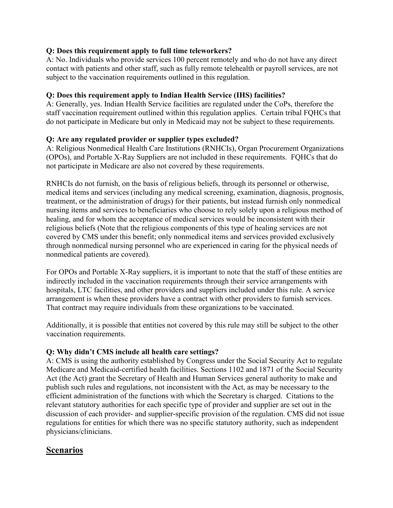### **Q: Does this requirement apply to full time teleworkers?**

A: No. Individuals who provide services 100 percent remotely and who do not have any direct contact with patients and other staff, such as fully remote telehealth or payroll services, are not subject to the vaccination requirements outlined in this regulation.

### **Q: Does this requirement apply to Indian Health Service (IHS) facilities?**

A: Generally, yes. Indian Health Service facilities are regulated under the CoPs, therefore the staff vaccination requirement outlined within this regulation applies. Certain tribal FQHCs that do not participate in Medicare but only in Medicaid may not be subject to these requirements.

#### **Q: Are any regulated provider or supplier types excluded?**

A: Religious Nonmedical Health Care Institutions (RNHCIs), Organ Procurement Organizations (OPOs), and Portable X-Ray Suppliers are not included in these requirements. FQHCs that do not participate in Medicare are also not covered by these requirements.

RNHCIs do not furnish, on the basis of religious beliefs, through its personnel or otherwise, medical items and services (including any medical screening, examination, diagnosis, prognosis, treatment, or the administration of drugs) for their patients, but instead furnish only nonmedical nursing items and services to beneficiaries who choose to rely solely upon a religious method of healing, and for whom the acceptance of medical services would be inconsistent with their religious beliefs (Note that the religious components of this type of healing services are not covered by CMS under this benefit; only nonmedical items and services provided exclusively through nonmedical nursing personnel who are experienced in caring for the physical needs of nonmedical patients are covered).

For OPOs and Portable X-Ray suppliers, it is important to note that the staff of these entities are indirectly included in the vaccination requirements through their service arrangements with hospitals, LTC facilities, and other providers and suppliers included under this rule. A service arrangement is when these providers have a contract with other providers to furnish services. That contract may require individuals from these organizations to be vaccinated.

Additionally, it is possible that entities not covered by this rule may still be subject to the other vaccination requirements.

#### **Q: Why didn't CMS include all health care settings?**

A: CMS is using the authority established by Congress under the Social Security Act to regulate Medicare and Medicaid-certified health facilities. Sections 1102 and 1871 of the Social Security Act (the Act) grant the Secretary of Health and Human Services general authority to make and publish such rules and regulations, not inconsistent with the Act, as may be necessary to the efficient administration of the functions with which the Secretary is charged. Citations to the relevant statutory authorities for each specific type of provider and supplier are set out in the discussion of each provider- and supplier-specific provision of the regulation. CMS did not issue regulations for entities for which there was no specific statutory authority, such as independent physicians/clinicians.

# **Scenarios**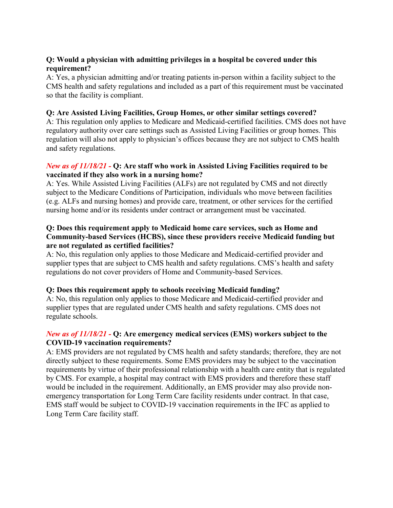#### **Q: Would a physician with admitting privileges in a hospital be covered under this requirement?**

A: Yes, a physician admitting and/or treating patients in-person within a facility subject to the CMS health and safety regulations and included as a part of this requirement must be vaccinated so that the facility is compliant.

#### **Q: Are Assisted Living Facilities, Group Homes, or other similar settings covered?**

A: This regulation only applies to Medicare and Medicaid-certified facilities. CMS does not have regulatory authority over care settings such as Assisted Living Facilities or group homes. This regulation will also not apply to physician's offices because they are not subject to CMS health and safety regulations.

#### *New as of 11/18/21 -* **Q: Are staff who work in Assisted Living Facilities required to be vaccinated if they also work in a nursing home?**

A: Yes. While Assisted Living Facilities (ALFs) are not regulated by CMS and not directly subject to the Medicare Conditions of Participation, individuals who move between facilities (e.g. ALFs and nursing homes) and provide care, treatment, or other services for the certified nursing home and/or its residents under contract or arrangement must be vaccinated.

#### **Q: Does this requirement apply to Medicaid home care services, such as Home and Community-based Services (HCBS), since these providers receive Medicaid funding but are not regulated as certified facilities?**

A: No, this regulation only applies to those Medicare and Medicaid-certified provider and supplier types that are subject to CMS health and safety regulations. CMS's health and safety regulations do not cover providers of Home and Community-based Services.

# **Q: Does this requirement apply to schools receiving Medicaid funding?**

A: No, this regulation only applies to those Medicare and Medicaid-certified provider and supplier types that are regulated under CMS health and safety regulations. CMS does not regulate schools.

#### *New as of 11/18/21 -* **Q: Are emergency medical services (EMS) workers subject to the COVID-19 vaccination requirements?**

A: EMS providers are not regulated by CMS health and safety standards; therefore, they are not directly subject to these requirements. Some EMS providers may be subject to the vaccination requirements by virtue of their professional relationship with a health care entity that is regulated by CMS. For example, a hospital may contract with EMS providers and therefore these staff would be included in the requirement. Additionally, an EMS provider may also provide nonemergency transportation for Long Term Care facility residents under contract. In that case, EMS staff would be subject to COVID-19 vaccination requirements in the IFC as applied to Long Term Care facility staff.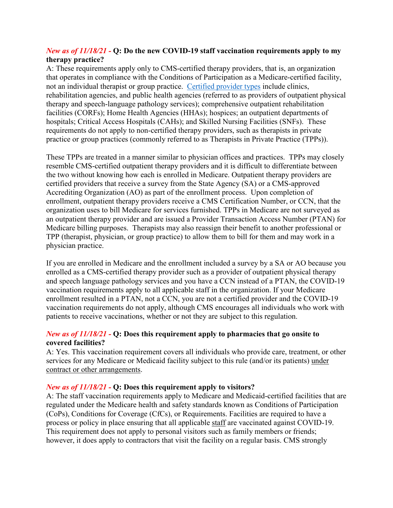#### *New as of 11/18/21 -* **Q: Do the new COVID-19 staff vaccination requirements apply to my therapy practice?**

A: These requirements apply only to CMS-certified therapy providers, that is, an organization that operates in compliance with the Conditions of Participation as a Medicare-certified facility, not an individual therapist or group practice. [Certified provider types](https://www.cms.gov/Medicare/Provider-Enrollment-and-Certification/CertificationandComplianc/OutpatientRehab) include clinics, rehabilitation agencies, and public health agencies (referred to as providers of outpatient physical therapy and speech-language pathology services); comprehensive outpatient rehabilitation facilities (CORFs); Home Health Agencies (HHAs); hospices; an outpatient departments of hospitals; Critical Access Hospitals (CAHs); and Skilled Nursing Facilities (SNFs). These requirements do not apply to non-certified therapy providers, such as therapists in private practice or group practices (commonly referred to as Therapists in Private Practice (TPPs)).

These TPPs are treated in a manner similar to physician offices and practices. TPPs may closely resemble CMS-certified outpatient therapy providers and it is difficult to differentiate between the two without knowing how each is enrolled in Medicare. Outpatient therapy providers are certified providers that receive a survey from the State Agency (SA) or a CMS-approved Accrediting Organization (AO) as part of the enrollment process. Upon completion of enrollment, outpatient therapy providers receive a CMS Certification Number, or CCN, that the organization uses to bill Medicare for services furnished. TPPs in Medicare are not surveyed as an outpatient therapy provider and are issued a Provider Transaction Access Number (PTAN) for Medicare billing purposes. Therapists may also reassign their benefit to another professional or TPP (therapist, physician, or group practice) to allow them to bill for them and may work in a physician practice.

If you are enrolled in Medicare and the enrollment included a survey by a SA or AO because you enrolled as a CMS-certified therapy provider such as a provider of outpatient physical therapy and speech language pathology services and you have a CCN instead of a PTAN, the COVID-19 vaccination requirements apply to all applicable staff in the organization. If your Medicare enrollment resulted in a PTAN, not a CCN, you are not a certified provider and the COVID-19 vaccination requirements do not apply, although CMS encourages all individuals who work with patients to receive vaccinations, whether or not they are subject to this regulation.

#### *New as of 11/18/21 -* **Q: Does this requirement apply to pharmacies that go onsite to covered facilities?**

A: Yes. This vaccination requirement covers all individuals who provide care, treatment, or other services for any Medicare or Medicaid facility subject to this rule (and/or its patients) under contract or other arrangements.

#### *New as of 11/18/21 -* **Q: Does this requirement apply to visitors?**

A: The staff vaccination requirements apply to Medicare and Medicaid-certified facilities that are regulated under the Medicare health and safety standards known as Conditions of Participation (CoPs), Conditions for Coverage (CfCs), or Requirements. Facilities are required to have a process or policy in place ensuring that all applicable staff are vaccinated against COVID-19. This requirement does not apply to personal visitors such as family members or friends; however, it does apply to contractors that visit the facility on a regular basis. CMS strongly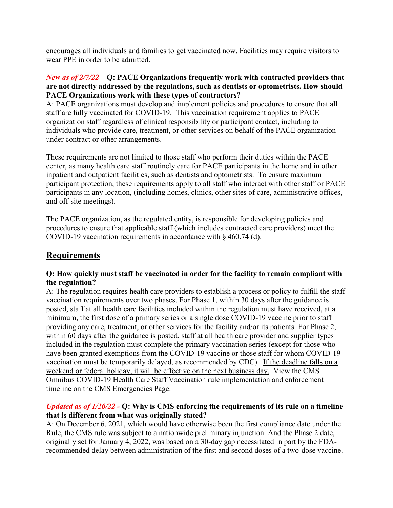encourages all individuals and families to get vaccinated now. Facilities may require visitors to wear PPE in order to be admitted.

#### *New as of 2/7/22 –* **Q: PACE Organizations frequently work with contracted providers that are not directly addressed by the regulations, such as dentists or optometrists. How should PACE Organizations work with these types of contractors?**

A: PACE organizations must develop and implement policies and procedures to ensure that all staff are fully vaccinated for COVID-19. This vaccination requirement applies to PACE organization staff regardless of clinical responsibility or participant contact, including to individuals who provide care, treatment, or other services on behalf of the PACE organization under contract or other arrangements.

These requirements are not limited to those staff who perform their duties within the PACE center, as many health care staff routinely care for PACE participants in the home and in other inpatient and outpatient facilities, such as dentists and optometrists. To ensure maximum participant protection, these requirements apply to all staff who interact with other staff or PACE participants in any location, (including homes, clinics, other sites of care, administrative offices, and off-site meetings).

The PACE organization, as the regulated entity, is responsible for developing policies and procedures to ensure that applicable staff (which includes contracted care providers) meet the COVID-19 vaccination requirements in accordance with § 460.74 (d).

# **Requirements**

#### **Q: How quickly must staff be vaccinated in order for the facility to remain compliant with the regulation?**

A: The regulation requires health care providers to establish a process or policy to fulfill the staff vaccination requirements over two phases. For Phase 1, within 30 days after the guidance is posted, staff at all health care facilities included within the regulation must have received, at a minimum, the first dose of a primary series or a single dose COVID-19 vaccine prior to staff providing any care, treatment, or other services for the facility and/or its patients. For Phase 2, within 60 days after the guidance is posted, staff at all health care provider and supplier types included in the regulation must complete the primary vaccination series (except for those who have been granted exemptions from the COVID-19 vaccine or those staff for whom COVID-19 vaccination must be temporarily delayed, as recommended by CDC).If the deadline falls on a weekend or federal holiday, it will be effective on the next business day.View the CMS Omnibus COVID-19 Health Care Staff Vaccination rule implementation and enforcement timeline on the CMS Emergencies Page.

#### *Updated as of 1/20/22 -* **Q: Why is CMS enforcing the requirements of its rule on a timeline that is different from what was originally stated?**

A: On December 6, 2021, which would have otherwise been the first compliance date under the Rule, the CMS rule was subject to a nationwide preliminary injunction. And the Phase 2 date, originally set for January 4, 2022, was based on a 30-day gap necessitated in part by the FDArecommended delay between administration of the first and second doses of a two-dose vaccine.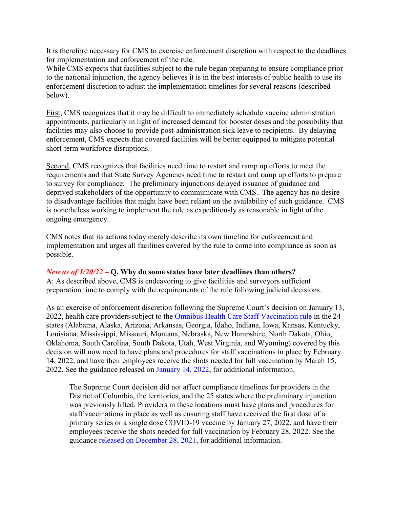It is therefore necessary for CMS to exercise enforcement discretion with respect to the deadlines for implementation and enforcement of the rule.

While CMS expects that facilities subject to the rule began preparing to ensure compliance prior to the national injunction, the agency believes it is in the best interests of public health to use its enforcement discretion to adjust the implementation timelines for several reasons (described below).

First, CMS recognizes that it may be difficult to immediately schedule vaccine administration appointments, particularly in light of increased demand for booster doses and the possibility that facilities may also choose to provide post-administration sick leave to recipients. By delaying enforcement, CMS expects that covered facilities will be better equipped to mitigate potential short-term workforce disruptions.

Second, CMS recognizes that facilities need time to restart and ramp up efforts to meet the requirements and that State Survey Agencies need time to restart and ramp up efforts to prepare to survey for compliance. The preliminary injunctions delayed issuance of guidance and deprived stakeholders of the opportunity to communicate with CMS. The agency has no desire to disadvantage facilities that might have been reliant on the availability of such guidance. CMS is nonetheless working to implement the rule as expeditiously as reasonable in light of the ongoing emergency.

CMS notes that its actions today merely describe its own timeline for enforcement and implementation and urges all facilities covered by the rule to come into compliance as soon as possible.

#### *New as of 1/20/22 –* **Q. Why do some states have later deadlines than others?**

A: As described above, CMS is endeavoring to give facilities and surveyors sufficient preparation time to comply with the requirements of the rule following judicial decisions.

As an exercise of enforcement discretion following the Supreme Court's decision on January 13, 2022, health care providers subject to the [Omnibus Health Care Staff Vaccination rule](https://www.federalregister.gov/documents/2021/11/05/2021-23831/medicare-and-medicaid-programs-omnibus-covid-19-health-care-staff-vaccination) in the 24 states (Alabama, Alaska, Arizona, Arkansas, Georgia, Idaho, Indiana, Iowa, Kansas, Kentucky, Louisiana, Mississippi, Missouri, Montana, Nebraska, New Hampshire, North Dakota, Ohio, Oklahoma, South Carolina, South Dakota, Utah, West Virginia, and Wyoming) covered by this decision will now need to have plans and procedures for staff vaccinations in place by February 14, 2022, and have their employees receive the shots needed for full vaccination by March 15, 2022. See the guidance released on [January 14, 2022,](https://www.cms.gov/files/document/qso-22-09-all-injunction-lifted.pdf) for additional information.

The Supreme Court decision did not affect compliance timelines for providers in the District of Columbia, the territories, and the 25 states where the preliminary injunction was previously lifted. Providers in these locations must have plans and procedures for staff vaccinations in place as well as ensuring staff have received the first dose of a primary series or a single dose COVID-19 vaccine by January 27, 2022, and have their employees receive the shots needed for full vaccination by February 28, 2022. See the guidance [released on December 28, 2021,](https://www.cms.gov/medicareprovider-enrollment-and-certificationsurveycertificationgeninfopolicy-and-memos-states-and/guidance-interim-final-rule-medicare-and-medicaid-programs-omnibus-covid-19-health-care-staff-0) for additional information.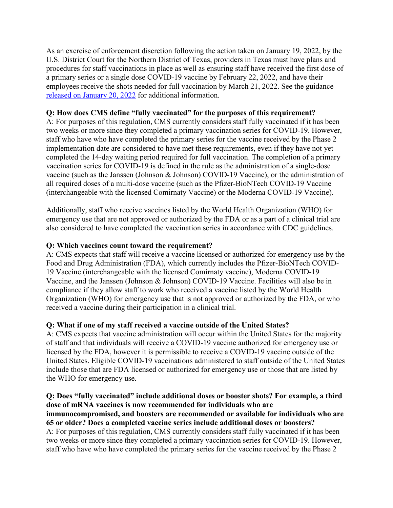As an exercise of enforcement discretion following the action taken on January 19, 2022, by the U.S. District Court for the Northern District of Texas, providers in Texas must have plans and procedures for staff vaccinations in place as well as ensuring staff have received the first dose of a primary series or a single dose COVID-19 vaccine by February 22, 2022, and have their employees receive the shots needed for full vaccination by March 21, 2022. See the guidance [released on January 20, 2022](https://www.cms.gov/medicareprovider-enrollment-and-certificationsurveycertificationgeninfopolicy-and-memos-states-and/guidance-interim-final-rule-medicare-and-medicaid-programs-omnibus-covid-19-health-care-staff-2) for additional information.

#### **Q: How does CMS define "fully vaccinated" for the purposes of this requirement?**

A: For purposes of this regulation, CMS currently considers staff fully vaccinated if it has been two weeks or more since they completed a primary vaccination series for COVID-19. However, staff who have who have completed the primary series for the vaccine received by the Phase 2 implementation date are considered to have met these requirements, even if they have not yet completed the 14-day waiting period required for full vaccination. The completion of a primary vaccination series for COVID-19 is defined in the rule as the administration of a single-dose vaccine (such as the Janssen (Johnson & Johnson) COVID-19 Vaccine), or the administration of all required doses of a multi-dose vaccine (such as the Pfizer-BioNTech COVID-19 Vaccine (interchangeable with the licensed Comirnaty Vaccine) or the Moderna COVID-19 Vaccine).

Additionally, staff who receive vaccines listed by the World Health Organization (WHO) for emergency use that are not approved or authorized by the FDA or as a part of a clinical trial are also considered to have completed the vaccination series in accordance with CDC guidelines.

### **Q: Which vaccines count toward the requirement?**

A: CMS expects that staff will receive a vaccine licensed or authorized for emergency use by the Food and Drug Administration (FDA), which currently includes the Pfizer-BioNTech COVID-19 Vaccine (interchangeable with the licensed Comirnaty vaccine), Moderna COVID-19 Vaccine, and the Janssen (Johnson & Johnson) COVID-19 Vaccine. Facilities will also be in compliance if they allow staff to work who received a vaccine listed by the World Health Organization (WHO) for emergency use that is not approved or authorized by the FDA, or who received a vaccine during their participation in a clinical trial.

# **Q: What if one of my staff received a vaccine outside of the United States?**

A: CMS expects that vaccine administration will occur within the United States for the majority of staff and that individuals will receive a COVID-19 vaccine authorized for emergency use or licensed by the FDA, however it is permissible to receive a COVID-19 vaccine outside of the United States. Eligible COVID-19 vaccinations administered to staff outside of the United States include those that are FDA licensed or authorized for emergency use or those that are listed by the WHO for emergency use.

#### **Q: Does "fully vaccinated" include additional doses or booster shots? For example, a third dose of mRNA vaccines is now recommended for individuals who are immunocompromised, and boosters are recommended or available for individuals who are 65 or older? Does a completed vaccine series include additional doses or boosters?** A: For purposes of this regulation, CMS currently considers staff fully vaccinated if it has been two weeks or more since they completed a primary vaccination series for COVID-19. However, staff who have who have completed the primary series for the vaccine received by the Phase 2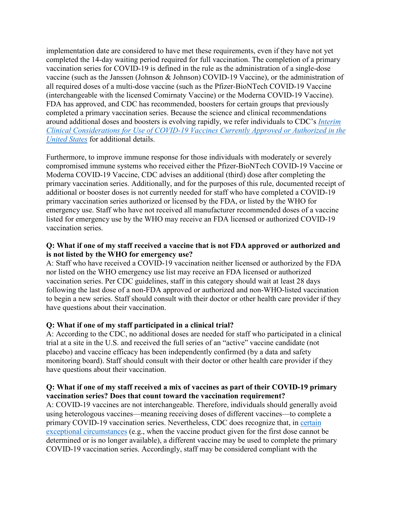implementation date are considered to have met these requirements, even if they have not yet completed the 14-day waiting period required for full vaccination. The completion of a primary vaccination series for COVID-19 is defined in the rule as the administration of a single-dose vaccine (such as the Janssen (Johnson & Johnson) COVID-19 Vaccine), or the administration of all required doses of a multi-dose vaccine (such as the Pfizer-BioNTech COVID-19 Vaccine (interchangeable with the licensed Comirnaty Vaccine) or the Moderna COVID-19 Vaccine). FDA has approved, and CDC has recommended, boosters for certain groups that previously completed a primary vaccination series. Because the science and clinical recommendations around additional doses and boosters is evolving rapidly, we refer individuals to CDC's *Interim [Clinical Considerations for Use of COVID-19 Vaccines Currently Approved or Authorized in the](https://www.cdc.gov/vaccines/covid-19/clinical-considerations/covid-19-vaccines-us.html)  United States* for additional details.

Furthermore, to improve immune response for those individuals with moderately or severely compromised immune systems who received either the Pfizer-BioNTech COVID-19 Vaccine or Moderna COVID-19 Vaccine, CDC advises an additional (third) dose after completing the primary vaccination series. Additionally, and for the purposes of this rule, documented receipt of additional or booster doses is not currently needed for staff who have completed a COVID-19 primary vaccination series authorized or licensed by the FDA, or listed by the WHO for emergency use. Staff who have not received all manufacturer recommended doses of a vaccine listed for emergency use by the WHO may receive an FDA licensed or authorized COVID-19 vaccination series.

#### **Q: What if one of my staff received a vaccine that is not FDA approved or authorized and is not listed by the WHO for emergency use?**

A: Staff who have received a COVID-19 vaccination neither licensed or authorized by the FDA nor listed on the WHO emergency use list may receive an FDA licensed or authorized vaccination series. Per CDC guidelines, staff in this category should wait at least 28 days following the last dose of a non-FDA approved or authorized and non-WHO-listed vaccination to begin a new series. Staff should consult with their doctor or other health care provider if they have questions about their vaccination.

# **Q: What if one of my staff participated in a clinical trial?**

A: According to the CDC, no additional doses are needed for staff who participated in a clinical trial at a site in the U.S. and received the full series of an "active" vaccine candidate (not placebo) and vaccine efficacy has been independently confirmed (by a data and safety monitoring board). Staff should consult with their doctor or other health care provider if they have questions about their vaccination.

### **Q: What if one of my staff received a mix of vaccines as part of their COVID-19 primary vaccination series? Does that count toward the vaccination requirement?**

A: COVID-19 vaccines are not interchangeable. Therefore, individuals should generally avoid using heterologous vaccines—meaning receiving doses of different vaccines—to complete a primary COVID-19 vaccination series. Nevertheless, CDC does recognize that, in certain [exceptional circumstances \(e.g., when the vaccine product given for the first dose cannot](https://www.cdc.gov/vaccines/covid-19/clinical-considerations/covid-19-vaccines-us.html#Interchangeability) be determined or is no longer available), a different vaccine may be used to complete the primary COVID-19 vaccination series. Accordingly, staff may be considered compliant with the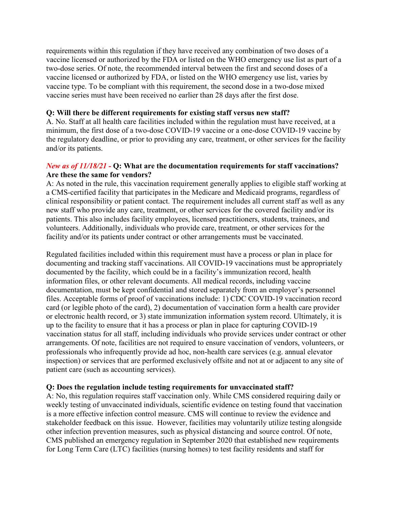requirements within this regulation if they have received any combination of two doses of a vaccine licensed or authorized by the FDA or listed on the WHO emergency use list as part of a two-dose series. Of note, the recommended interval between the first and second doses of a vaccine licensed or authorized by FDA, or listed on the WHO emergency use list, varies by vaccine type. To be compliant with this requirement, the second dose in a two-dose mixed vaccine series must have been received no earlier than 28 days after the first dose.

#### **Q: Will there be different requirements for existing staff versus new staff?**

A. No. Staff at all health care facilities included within the regulation must have received, at a minimum, the first dose of a two-dose COVID-19 vaccine or a one-dose COVID-19 vaccine by the regulatory deadline, or prior to providing any care, treatment, or other services for the facility and/or its patients.

#### *New as of 11/18/21 -* **Q: What are the documentation requirements for staff vaccinations? Are these the same for vendors?**

A: As noted in the rule, this vaccination requirement generally applies to eligible staff working at a CMS-certified facility that participates in the Medicare and Medicaid programs, regardless of clinical responsibility or patient contact. The requirement includes all current staff as well as any new staff who provide any care, treatment, or other services for the covered facility and/or its patients. This also includes facility employees, licensed practitioners, students, trainees, and volunteers. Additionally, individuals who provide care, treatment, or other services for the facility and/or its patients under contract or other arrangements must be vaccinated.

Regulated facilities included within this requirement must have a process or plan in place for documenting and tracking staff vaccinations. All COVID-19 vaccinations must be appropriately documented by the facility, which could be in a facility's immunization record, health information files, or other relevant documents. All medical records, including vaccine documentation, must be kept confidential and stored separately from an employer's personnel files. Acceptable forms of proof of vaccinations include: 1) CDC COVID-19 vaccination record card (or legible photo of the card), 2) documentation of vaccination form a health care provider or electronic health record, or 3) state immunization information system record. Ultimately, it is up to the facility to ensure that it has a process or plan in place for capturing COVID-19 vaccination status for all staff, including individuals who provide services under contract or other arrangements. Of note, facilities are not required to ensure vaccination of vendors, volunteers, or professionals who infrequently provide ad hoc, non-health care services (e.g. annual elevator inspection) or services that are performed exclusively offsite and not at or adjacent to any site of patient care (such as accounting services).

#### **Q: Does the regulation include testing requirements for unvaccinated staff?**

A: No, this regulation requires staff vaccination only. While CMS considered requiring daily or weekly testing of unvaccinated individuals, scientific evidence on testing found that vaccination is a more effective infection control measure. CMS will continue to review the evidence and stakeholder feedback on this issue. However, facilities may voluntarily utilize testing alongside other infection prevention measures, such as physical distancing and source control. Of note, CMS published an emergency regulation in September 2020 that established new requirements for Long Term Care (LTC) facilities (nursing homes) to test facility residents and staff for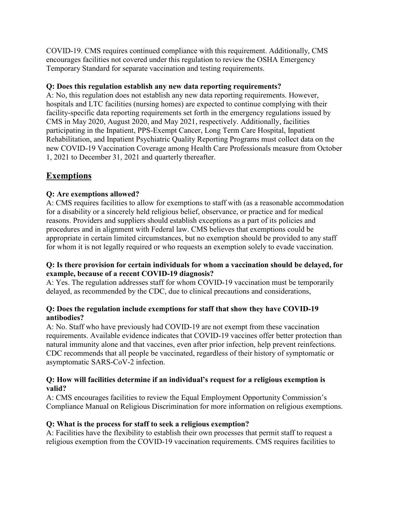COVID-19. CMS requires continued compliance with this requirement. Additionally, CMS encourages facilities not covered under this regulation to review the OSHA Emergency Temporary Standard for separate vaccination and testing requirements.

### **Q: Does this regulation establish any new data reporting requirements?**

A: No, this regulation does not establish any new data reporting requirements. However, hospitals and LTC facilities (nursing homes) are expected to continue complying with their facility-specific data reporting requirements set forth in the emergency regulations issued by CMS in May 2020, August 2020, and May 2021, respectively. Additionally, facilities participating in the Inpatient, PPS-Exempt Cancer, Long Term Care Hospital, Inpatient Rehabilitation, and Inpatient Psychiatric Quality Reporting Programs must collect data on the new COVID-19 Vaccination Coverage among Health Care Professionals measure from October 1, 2021 to December 31, 2021 and quarterly thereafter.

# **Exemptions**

### **Q: Are exemptions allowed?**

A: CMS requires facilities to allow for exemptions to staff with (as a reasonable accommodation for a disability or a sincerely held religious belief, observance, or practice and for medical reasons. Providers and suppliers should establish exceptions as a part of its policies and procedures and in alignment with Federal law. CMS believes that exemptions could be appropriate in certain limited circumstances, but no exemption should be provided to any staff for whom it is not legally required or who requests an exemption solely to evade vaccination.

#### **Q: Is there provision for certain individuals for whom a vaccination should be delayed, for example, because of a recent COVID-19 diagnosis?**

A: Yes. The regulation addresses staff for whom COVID-19 vaccination must be temporarily delayed, as recommended by the CDC, due to clinical precautions and considerations,

#### **Q: Does the regulation include exemptions for staff that show they have COVID-19 antibodies?**

A: No. Staff who have previously had COVID-19 are not exempt from these vaccination requirements. Available evidence indicates that COVID-19 vaccines offer better protection than natural immunity alone and that vaccines, even after prior infection, help prevent reinfections. CDC recommends that all people be vaccinated, regardless of their history of symptomatic or asymptomatic SARS-CoV-2 infection.

#### **Q: How will facilities determine if an individual's request for a religious exemption is valid?**

A: CMS encourages facilities to review the Equal Employment Opportunity Commission's Compliance Manual on Religious Discrimination for more information on religious exemptions.

#### **Q: What is the process for staff to seek a religious exemption?**

A: Facilities have the flexibility to establish their own processes that permit staff to request a religious exemption from the COVID-19 vaccination requirements. CMS requires facilities to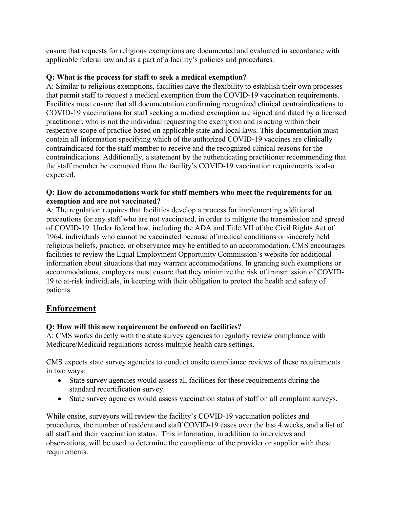ensure that requests for religious exemptions are documented and evaluated in accordance with applicable federal law and as a part of a facility's policies and procedures.

#### **Q: What is the process for staff to seek a medical exemption?**

A: Similar to religious exemptions, facilities have the flexibility to establish their own processes that permit staff to request a medical exemption from the COVID-19 vaccination requirements. Facilities must ensure that all documentation confirming recognized clinical contraindications to COVID-19 vaccinations for staff seeking a medical exemption are signed and dated by a licensed practitioner, who is not the individual requesting the exemption and is acting within their respective scope of practice based on applicable state and local laws. This documentation must contain all information specifying which of the authorized COVID-19 vaccines are clinically contraindicated for the staff member to receive and the recognized clinical reasons for the contraindications. Additionally, a statement by the authenticating practitioner recommending that the staff member be exempted from the facility's COVID-19 vaccination requirements is also expected.

#### **Q: How do accommodations work for staff members who meet the requirements for an exemption and are not vaccinated?**

A: The regulation requires that facilities develop a process for implementing additional precautions for any staff who are not vaccinated, in order to mitigate the transmission and spread of COVID-19. Under federal law, including the ADA and Title VII of the Civil Rights Act of 1964, individuals who cannot be vaccinated because of medical conditions or sincerely held religious beliefs, practice, or observance may be entitled to an accommodation. CMS encourages facilities to review the Equal Employment Opportunity Commission's website for additional information about situations that may warrant accommodations. In granting such exemptions or accommodations, employers must ensure that they minimize the risk of transmission of COVID-19 to at-risk individuals, in keeping with their obligation to protect the health and safety of patients.

# **Enforcement**

# **Q: How will this new requirement be enforced on facilities?**

A: CMS works directly with the state survey agencies to regularly review compliance with Medicare/Medicaid regulations across multiple health care settings.

CMS expects state survey agencies to conduct onsite compliance reviews of these requirements in two ways:

- State survey agencies would assess all facilities for these requirements during the standard recertification survey.
- State survey agencies would assess vaccination status of staff on all complaint surveys.

While onsite, surveyors will review the facility's COVID-19 vaccination policies and procedures, the number of resident and staff COVID-19 cases over the last 4 weeks, and a list of all staff and their vaccination status. This information, in addition to interviews and observations, will be used to determine the compliance of the provider or supplier with these requirements.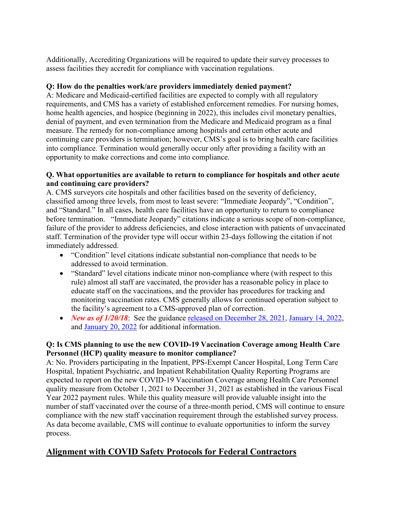Additionally, Accrediting Organizations will be required to update their survey processes to assess facilities they accredit for compliance with vaccination regulations.

### **Q: How do the penalties work/are providers immediately denied payment?**

A: Medicare and Medicaid-certified facilities are expected to comply with all regulatory requirements, and CMS has a variety of established enforcement remedies. For nursing homes, home health agencies, and hospice (beginning in 2022), this includes civil monetary penalties, denial of payment, and even termination from the Medicare and Medicaid program as a final measure. The remedy for non-compliance among hospitals and certain other acute and continuing care providers is termination; however, CMS's goal is to bring health care facilities into compliance. Termination would generally occur only after providing a facility with an opportunity to make corrections and come into compliance.

### **Q. What opportunities are available to return to compliance for hospitals and other acute and continuing care providers?**

A. CMS surveyors cite hospitals and other facilities based on the severity of deficiency, classified among three levels, from most to least severe: "Immediate Jeopardy", "Condition", and "Standard." In all cases, health care facilities have an opportunity to return to compliance before termination. "Immediate Jeopardy" citations indicate a serious scope of non-compliance, failure of the provider to address deficiencies, and close interaction with patients of unvaccinated staff. Termination of the provider type will occur within 23-days following the citation if not immediately addressed.

- "Condition" level citations indicate substantial non-compliance that needs to be addressed to avoid termination.
- "Standard" level citations indicate minor non-compliance where (with respect to this rule) almost all staff are vaccinated, the provider has a reasonable policy in place to educate staff on the vaccinations, and the provider has procedures for tracking and monitoring vaccination rates. CMS generally allows for continued operation subject to the facility's agreement to a CMS-approved plan of correction.
- *New as of 1/20/18*: See the guidance [released on December 28, 2021,](https://www.cms.gov/medicareprovider-enrollment-and-certificationsurveycertificationgeninfopolicy-and-memos-states-and/guidance-interim-final-rule-medicare-and-medicaid-programs-omnibus-covid-19-health-care-staff-0) [January 14, 2022,](https://www.cms.gov/files/document/qso-22-09-all-injunction-lifted.pdf) and [January 20, 2022](https://www.cms.gov/medicareprovider-enrollment-and-certificationsurveycertificationgeninfopolicy-and-memos-states-and/guidance-interim-final-rule-medicare-and-medicaid-programs-omnibus-covid-19-health-care-staff-2) for additional information.

### **Q: Is CMS planning to use the new COVID-19 Vaccination Coverage among Health Care Personnel (HCP) quality measure to monitor compliance?**

A: No. Providers participating in the Inpatient, PPS-Exempt Cancer Hospital, Long Term Care Hospital, Inpatient Psychiatric, and Inpatient Rehabilitation Quality Reporting Programs are expected to report on the new COVID-19 Vaccination Coverage among Health Care Personnel quality measure from October 1, 2021 to December 31, 2021 as established in the various Fiscal Year 2022 payment rules. While this quality measure will provide valuable insight into the number of staff vaccinated over the course of a three-month period, CMS will continue to ensure compliance with the new staff vaccination requirement through the established survey process. As data become available, CMS will continue to evaluate opportunities to inform the survey process.

# **Alignment with COVID Safety Protocols for Federal Contractors**